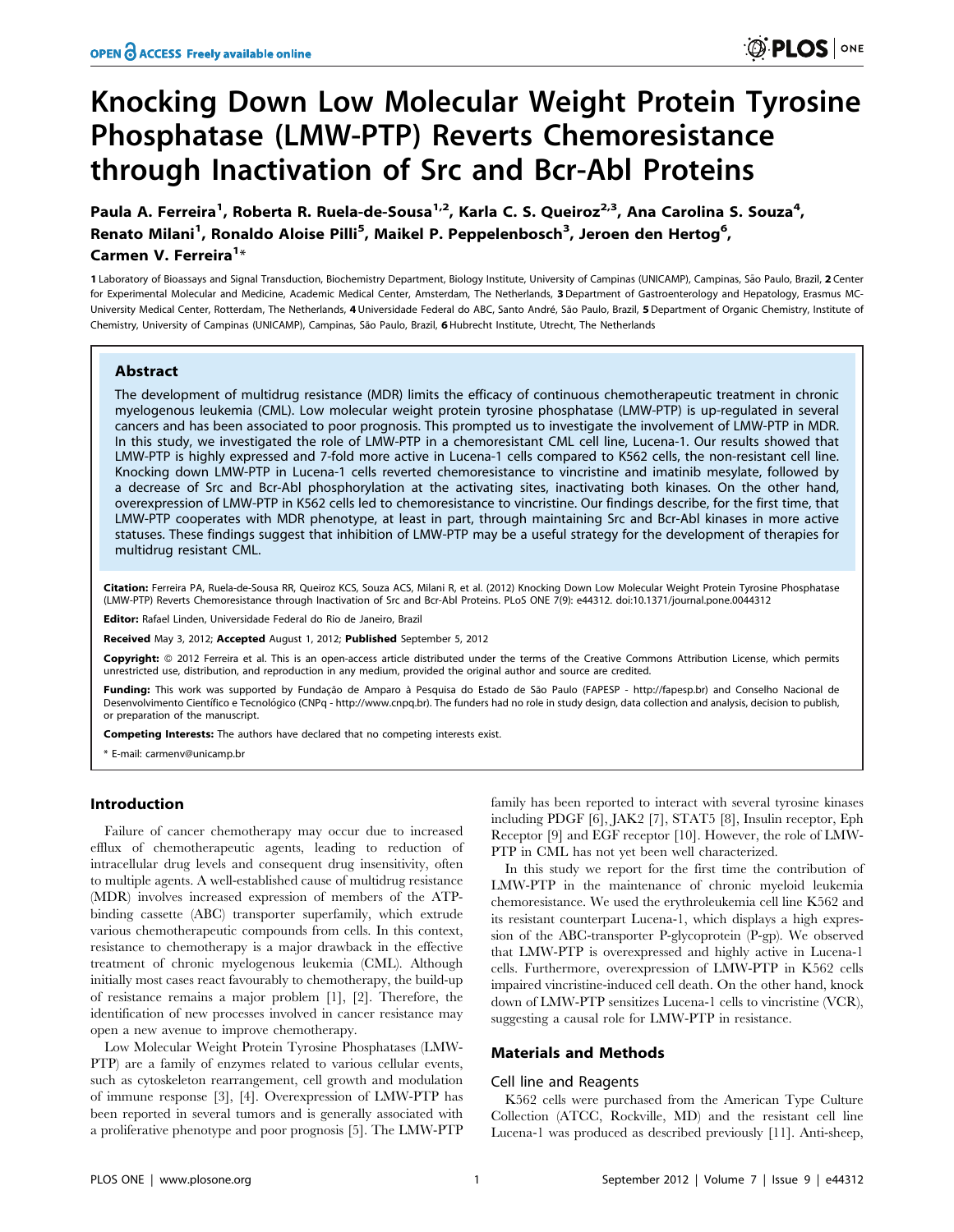# Knocking Down Low Molecular Weight Protein Tyrosine Phosphatase (LMW-PTP) Reverts Chemoresistance through Inactivation of Src and Bcr-Abl Proteins

Paula A. Ferreira<sup>1</sup>, Roberta R. Ruela-de-Sousa<sup>1,2</sup>, Karla C. S. Queiroz<sup>2,3</sup>, Ana Carolina S. Souza<sup>4</sup>, Renato Milani<sup>1</sup>, Ronaldo Aloise Pilli<sup>5</sup>, Maikel P. Peppelenbosch<sup>3</sup>, Jeroen den Hertog<sup>6</sup>, Carmen V. Ferreira<sup>1</sup>\*

1 Laboratory of Bioassays and Signal Transduction, Biochemistry Department, Biology Institute, University of Campinas (UNICAMP), Campinas, São Paulo, Brazil, 2 Center for Experimental Molecular and Medicine, Academic Medical Center, Amsterdam, The Netherlands, 3 Department of Gastroenterology and Hepatology, Erasmus MC-University Medical Center, Rotterdam, The Netherlands, 4 Universidade Federal do ABC, Santo André, São Paulo, Brazil, 5 Department of Organic Chemistry, Institute of Chemistry, University of Campinas (UNICAMP), Campinas, São Paulo, Brazil, 6 Hubrecht Institute, Utrecht, The Netherlands

## Abstract

The development of multidrug resistance (MDR) limits the efficacy of continuous chemotherapeutic treatment in chronic myelogenous leukemia (CML). Low molecular weight protein tyrosine phosphatase (LMW-PTP) is up-regulated in several cancers and has been associated to poor prognosis. This prompted us to investigate the involvement of LMW-PTP in MDR. In this study, we investigated the role of LMW-PTP in a chemoresistant CML cell line, Lucena-1. Our results showed that LMW-PTP is highly expressed and 7-fold more active in Lucena-1 cells compared to K562 cells, the non-resistant cell line. Knocking down LMW-PTP in Lucena-1 cells reverted chemoresistance to vincristine and imatinib mesylate, followed by a decrease of Src and Bcr-Abl phosphorylation at the activating sites, inactivating both kinases. On the other hand, overexpression of LMW-PTP in K562 cells led to chemoresistance to vincristine. Our findings describe, for the first time, that LMW-PTP cooperates with MDR phenotype, at least in part, through maintaining Src and Bcr-Abl kinases in more active statuses. These findings suggest that inhibition of LMW-PTP may be a useful strategy for the development of therapies for multidrug resistant CML.

Citation: Ferreira PA, Ruela-de-Sousa RR, Queiroz KCS, Souza ACS, Milani R, et al. (2012) Knocking Down Low Molecular Weight Protein Tyrosine Phosphatase (LMW-PTP) Reverts Chemoresistance through Inactivation of Src and Bcr-Abl Proteins. PLoS ONE 7(9): e44312. doi:10.1371/journal.pone.0044312

Editor: Rafael Linden, Universidade Federal do Rio de Janeiro, Brazil

Received May 3, 2012; Accepted August 1, 2012; Published September 5, 2012

Copyright: © 2012 Ferreira et al. This is an open-access article distributed under the terms of the Creative Commons Attribution License, which permits unrestricted use, distribution, and reproduction in any medium, provided the original author and source are credited.

Funding: This work was supported by Fundação de Amparo à Pesquisa do Estado de São Paulo (FAPESP - http://fapesp.br) and Conselho Nacional de Desenvolvimento Científico e Tecnológico (CNPq - http://www.cnpq.br). The funders had no role in study design, data collection and analysis, decision to publish, or preparation of the manuscript.

Competing Interests: The authors have declared that no competing interests exist.

\* E-mail: carmenv@unicamp.br

### Introduction

Failure of cancer chemotherapy may occur due to increased efflux of chemotherapeutic agents, leading to reduction of intracellular drug levels and consequent drug insensitivity, often to multiple agents. A well-established cause of multidrug resistance (MDR) involves increased expression of members of the ATPbinding cassette (ABC) transporter superfamily, which extrude various chemotherapeutic compounds from cells. In this context, resistance to chemotherapy is a major drawback in the effective treatment of chronic myelogenous leukemia (CML). Although initially most cases react favourably to chemotherapy, the build-up of resistance remains a major problem [1], [2]. Therefore, the identification of new processes involved in cancer resistance may open a new avenue to improve chemotherapy.

Low Molecular Weight Protein Tyrosine Phosphatases (LMW-PTP) are a family of enzymes related to various cellular events, such as cytoskeleton rearrangement, cell growth and modulation of immune response [3], [4]. Overexpression of LMW-PTP has been reported in several tumors and is generally associated with a proliferative phenotype and poor prognosis [5]. The LMW-PTP family has been reported to interact with several tyrosine kinases including PDGF [6], JAK2 [7], STAT5 [8], Insulin receptor, Eph Receptor [9] and EGF receptor [10]. However, the role of LMW-PTP in CML has not yet been well characterized.

In this study we report for the first time the contribution of LMW-PTP in the maintenance of chronic myeloid leukemia chemoresistance. We used the erythroleukemia cell line K562 and its resistant counterpart Lucena-1, which displays a high expression of the ABC-transporter P-glycoprotein (P-gp). We observed that LMW-PTP is overexpressed and highly active in Lucena-1 cells. Furthermore, overexpression of LMW-PTP in K562 cells impaired vincristine-induced cell death. On the other hand, knock down of LMW-PTP sensitizes Lucena-1 cells to vincristine (VCR), suggesting a causal role for LMW-PTP in resistance.

## Materials and Methods

#### Cell line and Reagents

K562 cells were purchased from the American Type Culture Collection (ATCC, Rockville, MD) and the resistant cell line Lucena-1 was produced as described previously [11]. Anti-sheep,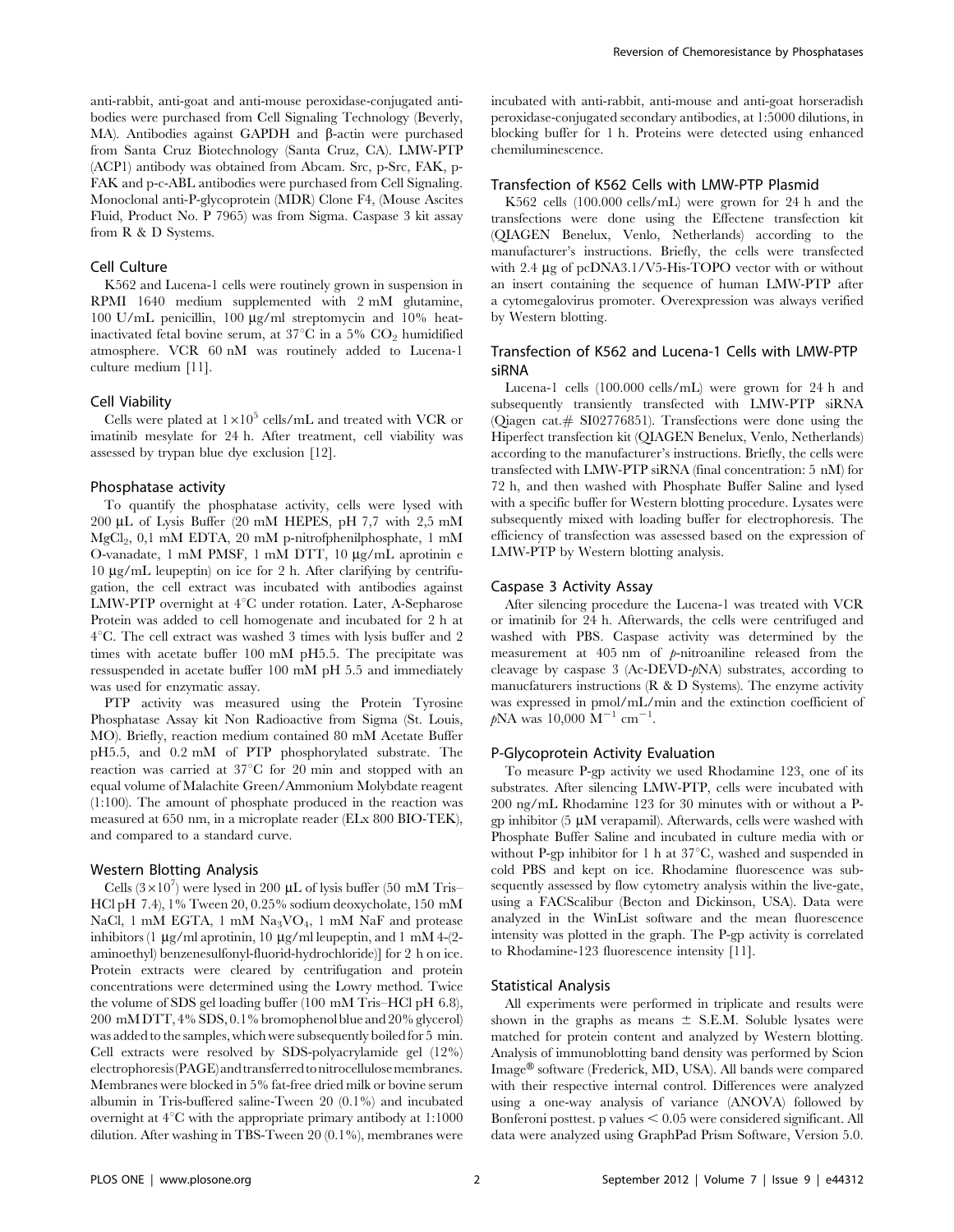anti-rabbit, anti-goat and anti-mouse peroxidase-conjugated antibodies were purchased from Cell Signaling Technology (Beverly, MA). Antibodies against GAPDH and  $\beta$ -actin were purchased from Santa Cruz Biotechnology (Santa Cruz, CA). LMW-PTP (ACP1) antibody was obtained from Abcam. Src, p-Src, FAK, p-FAK and p-c-ABL antibodies were purchased from Cell Signaling. Monoclonal anti-P-glycoprotein (MDR) Clone F4, (Mouse Ascites Fluid, Product No. P 7965) was from Sigma. Caspase 3 kit assay from R & D Systems.

#### Cell Culture

K562 and Lucena-1 cells were routinely grown in suspension in RPMI 1640 medium supplemented with 2 mM glutamine, 100 U/mL penicillin, 100  $\mu$ g/ml streptomycin and 10% heatinactivated fetal bovine serum, at  $37^{\circ}$ C in a  $5\%$  CO<sub>2</sub> humidified atmosphere. VCR 60 nM was routinely added to Lucena-1 culture medium [11].

#### Cell Viability

Cells were plated at  $1\times10^5$  cells/mL and treated with VCR or imatinib mesylate for 24 h. After treatment, cell viability was assessed by trypan blue dye exclusion [12].

#### Phosphatase activity

To quantify the phosphatase activity, cells were lysed with 200 mL of Lysis Buffer (20 mM HEPES, pH 7,7 with 2,5 mM  $MgCl<sub>2</sub>$ , 0,1 mM EDTA, 20 mM p-nitrofphenilphosphate, 1 mM O-vanadate,  $1 \text{ mM PMSF}$ ,  $1 \text{ mM DTT}$ ,  $10 \mu g/mL$  aprotinin e  $10 \mu$ g/mL leupeptin) on ice for 2 h. After clarifying by centrifugation, the cell extract was incubated with antibodies against LMW-PTP overnight at  $4^{\circ}$ C under rotation. Later, A-Sepharose Protein was added to cell homogenate and incubated for 2 h at  $4^{\circ}$ C. The cell extract was washed 3 times with lysis buffer and 2 times with acetate buffer 100 mM pH5.5. The precipitate was ressuspended in acetate buffer 100 mM pH 5.5 and immediately was used for enzymatic assay.

PTP activity was measured using the Protein Tyrosine Phosphatase Assay kit Non Radioactive from Sigma (St. Louis, MO). Briefly, reaction medium contained 80 mM Acetate Buffer pH5.5, and 0.2 mM of PTP phosphorylated substrate. The reaction was carried at  $37^{\circ}$ C for 20 min and stopped with an equal volume of Malachite Green/Ammonium Molybdate reagent (1:100). The amount of phosphate produced in the reaction was measured at 650 nm, in a microplate reader (ELx 800 BIO-TEK), and compared to a standard curve.

#### Western Blotting Analysis

Cells  $(3\times10^7)$  were lysed in 200 µL of lysis buffer (50 mM Tris– HCl pH 7.4), 1% Tween 20, 0.25% sodium deoxycholate, 150 mM NaCl, 1 mM EGTA, 1 mM  $Na<sub>3</sub>VO<sub>4</sub>$ , 1 mM NaF and protease inhibitors (1  $\mu$ g/ml aprotinin, 10  $\mu$ g/ml leupeptin, and 1 mM 4-(2aminoethyl) benzenesulfonyl-fluorid-hydrochloride)] for 2 h on ice. Protein extracts were cleared by centrifugation and protein concentrations were determined using the Lowry method. Twice the volume of SDS gel loading buffer (100 mM Tris–HCl pH 6.8), 200 mM DTT, 4% SDS, 0.1% bromophenol blue and 20% glycerol) was added to the samples, which were subsequently boiled for 5 min. Cell extracts were resolved by SDS-polyacrylamide gel (12%) electrophoresis(PAGE)andtransferredto nitrocellulosemembranes. Membranes were blocked in 5% fat-free dried milk or bovine serum albumin in Tris-buffered saline-Tween 20 (0.1%) and incubated overnight at  $4^{\circ}$ C with the appropriate primary antibody at 1:1000 dilution. After washing in TBS-Tween 20 (0.1%), membranes were incubated with anti-rabbit, anti-mouse and anti-goat horseradish peroxidase-conjugated secondary antibodies, at 1:5000 dilutions, in blocking buffer for 1 h. Proteins were detected using enhanced chemiluminescence.

#### Transfection of K562 Cells with LMW-PTP Plasmid

K562 cells (100.000 cells/mL) were grown for 24 h and the transfections were done using the Effectene transfection kit (QIAGEN Benelux, Venlo, Netherlands) according to the manufacturer's instructions. Briefly, the cells were transfected with 2.4  $\mu$ g of pcDNA3.1/V5-His-TOPO vector with or without an insert containing the sequence of human LMW-PTP after a cytomegalovirus promoter. Overexpression was always verified by Western blotting.

## Transfection of K562 and Lucena-1 Cells with LMW-PTP siRNA

Lucena-1 cells (100.000 cells/mL) were grown for 24 h and subsequently transiently transfected with LMW-PTP siRNA (Qiagen cat.*#* SI02776851). Transfections were done using the Hiperfect transfection kit (QIAGEN Benelux, Venlo, Netherlands) according to the manufacturer's instructions. Briefly, the cells were transfected with LMW-PTP siRNA (final concentration: 5 nM) for 72 h, and then washed with Phosphate Buffer Saline and lysed with a specific buffer for Western blotting procedure. Lysates were subsequently mixed with loading buffer for electrophoresis. The efficiency of transfection was assessed based on the expression of LMW-PTP by Western blotting analysis.

#### Caspase 3 Activity Assay

After silencing procedure the Lucena-1 was treated with VCR or imatinib for 24 h. Afterwards, the cells were centrifuged and washed with PBS. Caspase activity was determined by the measurement at 405 nm of p-nitroaniline released from the cleavage by caspase 3 (Ac-DEVD-pNA) substrates, according to manucfaturers instructions (R & D Systems). The enzyme activity was expressed in pmol/mL/min and the extinction coefficient of  $pNA$  was 10,000  $M^{-1}$  cm<sup>-1</sup>.

#### P-Glycoprotein Activity Evaluation

To measure P-gp activity we used Rhodamine 123, one of its substrates. After silencing LMW-PTP, cells were incubated with 200 ng/mL Rhodamine 123 for 30 minutes with or without a Pgp inhibitor  $(5 \mu M$  verapamil). Afterwards, cells were washed with Phosphate Buffer Saline and incubated in culture media with or without P-gp inhibitor for 1 h at  $37^{\circ}$ C, washed and suspended in cold PBS and kept on ice. Rhodamine fluorescence was subsequently assessed by flow cytometry analysis within the live-gate, using a FACScalibur (Becton and Dickinson, USA). Data were analyzed in the WinList software and the mean fluorescence intensity was plotted in the graph. The P-gp activity is correlated to Rhodamine-123 fluorescence intensity [11].

#### Statistical Analysis

All experiments were performed in triplicate and results were shown in the graphs as means  $\pm$  S.E.M. Soluble lysates were matched for protein content and analyzed by Western blotting. Analysis of immunoblotting band density was performed by Scion Image® software (Frederick, MD, USA). All bands were compared with their respective internal control. Differences were analyzed using a one-way analysis of variance (ANOVA) followed by Bonferoni posttest. p values  $< 0.05$  were considered significant. All data were analyzed using GraphPad Prism Software, Version 5.0.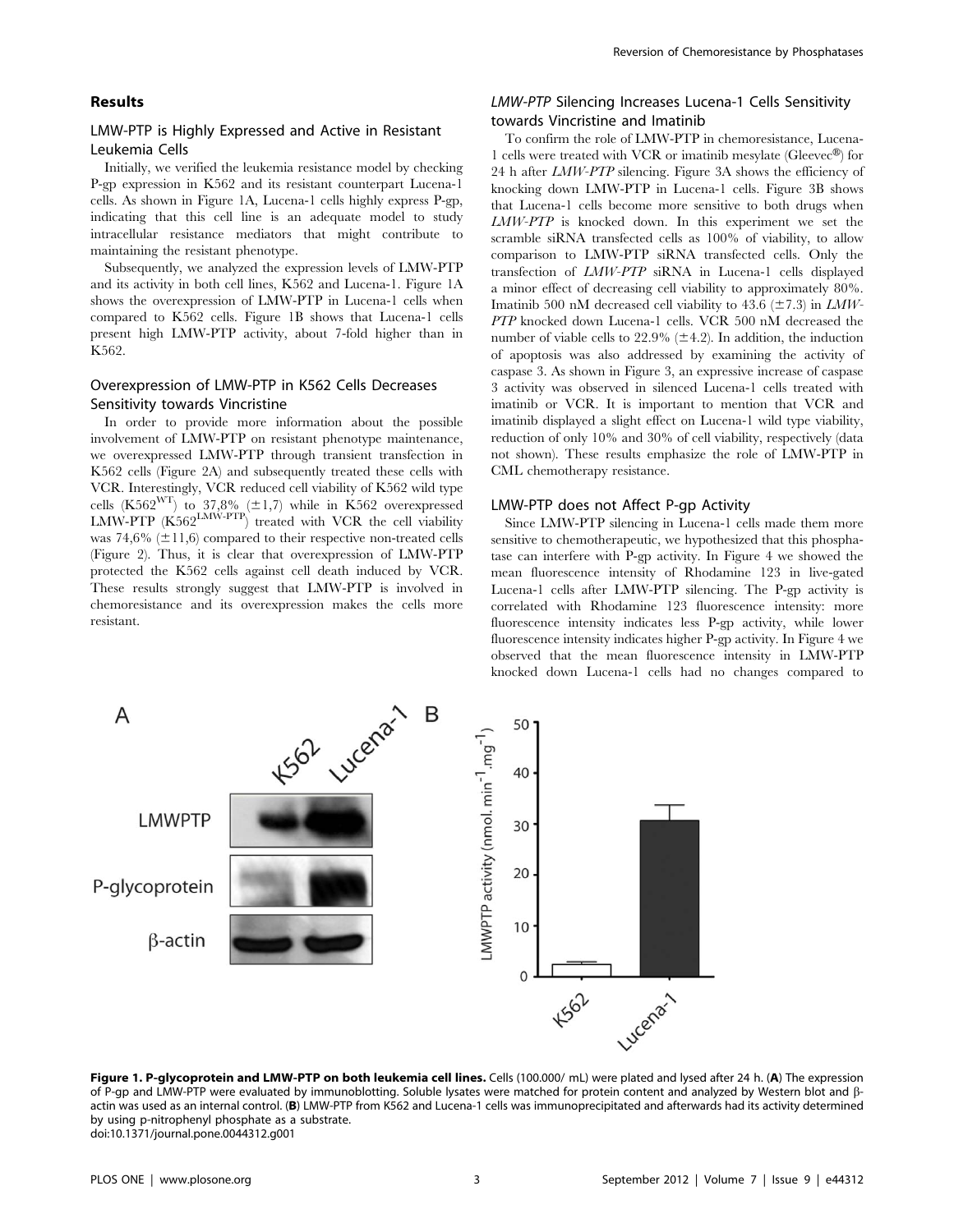## Results

## LMW-PTP is Highly Expressed and Active in Resistant Leukemia Cells

Initially, we verified the leukemia resistance model by checking P-gp expression in K562 and its resistant counterpart Lucena-1 cells. As shown in Figure 1A, Lucena-1 cells highly express P-gp, indicating that this cell line is an adequate model to study intracellular resistance mediators that might contribute to maintaining the resistant phenotype.

Subsequently, we analyzed the expression levels of LMW-PTP and its activity in both cell lines, K562 and Lucena-1. Figure 1A shows the overexpression of LMW-PTP in Lucena-1 cells when compared to K562 cells. Figure 1B shows that Lucena-1 cells present high LMW-PTP activity, about 7-fold higher than in K562.

# Overexpression of LMW-PTP in K562 Cells Decreases Sensitivity towards Vincristine

In order to provide more information about the possible involvement of LMW-PTP on resistant phenotype maintenance, we overexpressed LMW-PTP through transient transfection in K562 cells (Figure 2A) and subsequently treated these cells with VCR. Interestingly, VCR reduced cell viability of K562 wild type cells (K562<sup>WT</sup>) to 37,8% ( $\pm$ 1,7) while in K562 overexpressed  $LMW-PTP$   $(K562<sup>LMW-PTP</sup>)$  treated with VCR the cell viability was 74,6%  $(\pm 11,6)$  compared to their respective non-treated cells (Figure 2). Thus, it is clear that overexpression of LMW-PTP protected the K562 cells against cell death induced by VCR. These results strongly suggest that LMW-PTP is involved in chemoresistance and its overexpression makes the cells more resistant.

# LMW-PTP Silencing Increases Lucena-1 Cells Sensitivity towards Vincristine and Imatinib

To confirm the role of LMW-PTP in chemoresistance, Lucena-1 cells were treated with VCR or imatinib mesylate (Gleevec®) for 24 h after LMW-PTP silencing. Figure 3A shows the efficiency of knocking down LMW-PTP in Lucena-1 cells. Figure 3B shows that Lucena-1 cells become more sensitive to both drugs when LMW-PTP is knocked down. In this experiment we set the scramble siRNA transfected cells as  $100\%$  of viability, to allow comparison to LMW-PTP siRNA transfected cells. Only the transfection of LMW-PTP siRNA in Lucena-1 cells displayed a minor effect of decreasing cell viability to approximately 80%. Imatinib 500 nM decreased cell viability to 43.6 ( $\pm$ 7.3) in *LMW*-PTP knocked down Lucena-1 cells. VCR 500 nM decreased the number of viable cells to  $22.9\%$  ( $\pm 4.2$ ). In addition, the induction of apoptosis was also addressed by examining the activity of caspase 3. As shown in Figure 3, an expressive increase of caspase 3 activity was observed in silenced Lucena-1 cells treated with imatinib or VCR. It is important to mention that VCR and imatinib displayed a slight effect on Lucena-1 wild type viability, reduction of only 10% and 30% of cell viability, respectively (data not shown). These results emphasize the role of LMW-PTP in CML chemotherapy resistance.

## LMW-PTP does not Affect P-gp Activity

Since LMW-PTP silencing in Lucena-1 cells made them more sensitive to chemotherapeutic, we hypothesized that this phosphatase can interfere with P-gp activity. In Figure 4 we showed the mean fluorescence intensity of Rhodamine 123 in live-gated Lucena-1 cells after LMW-PTP silencing. The P-gp activity is correlated with Rhodamine 123 fluorescence intensity: more fluorescence intensity indicates less P-gp activity, while lower fluorescence intensity indicates higher P-gp activity. In Figure 4 we observed that the mean fluorescence intensity in LMW-PTP knocked down Lucena-1 cells had no changes compared to



Figure 1. P-glycoprotein and LMW-PTP on both leukemia cell lines. Cells (100.000/mL) were plated and lysed after 24 h. (A) The expression of P-qp and LMW-PTP were evaluated by immunoblotting. Soluble lysates were matched for protein content and analyzed by Western blot and  $\beta$ actin was used as an internal control. (B) LMW-PTP from K562 and Lucena-1 cells was immunoprecipitated and afterwards had its activity determined by using p-nitrophenyl phosphate as a substrate. doi:10.1371/journal.pone.0044312.g001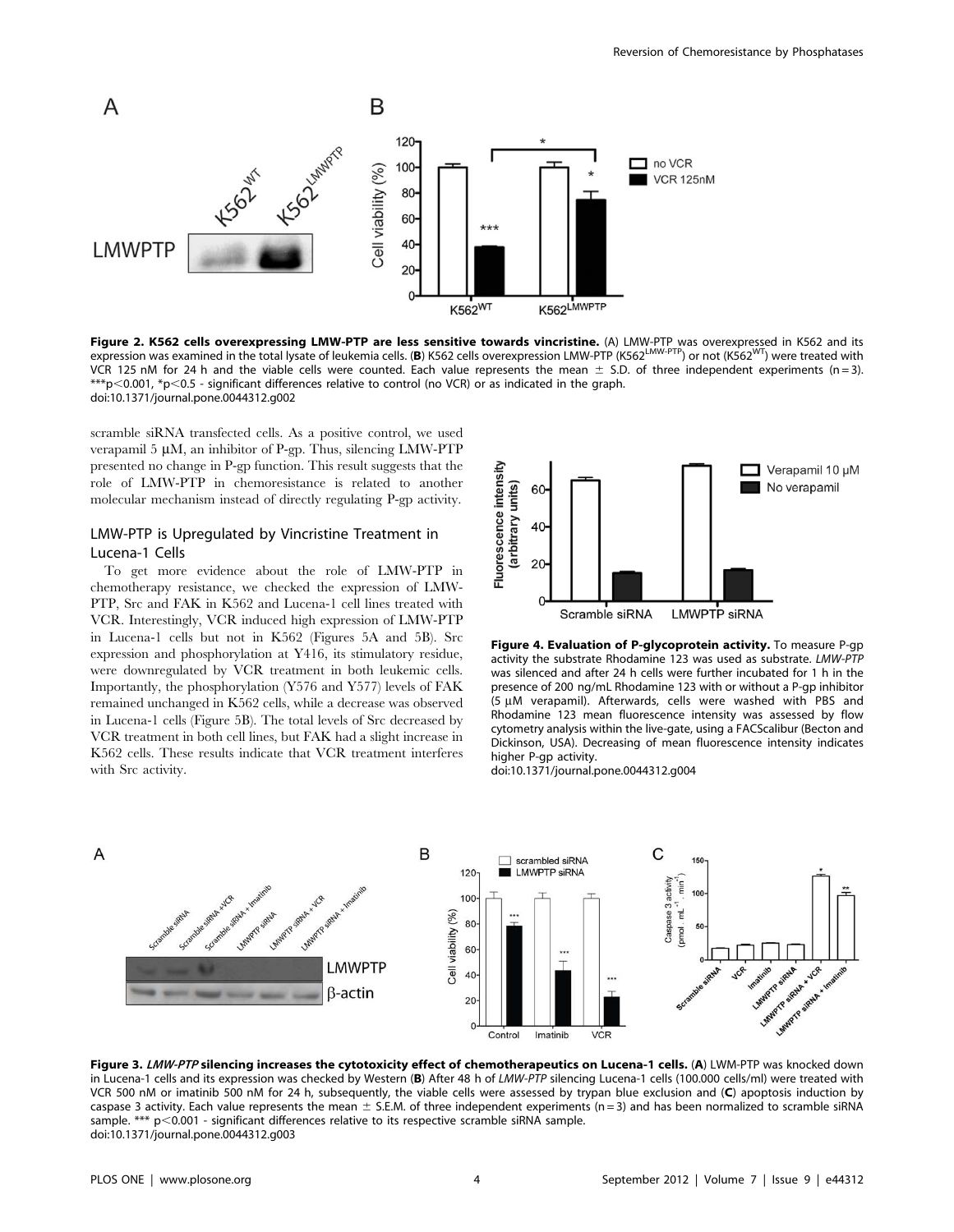

Figure 2. K562 cells overexpressing LMW-PTP are less sensitive towards vincristine. (A) LMW-PTP was overexpressed in K562 and its expression was examined in the total lysate of leukemia cells. (B) K562 cells overexpression LMW-PTP (K562<sup>LMW-PTP</sup>) or not (K562<sup>WT</sup>) were treated with VCR 125 nM for 24 h and the viable cells were counted. Each value represents the mean  $\pm$  S.D. of three independent experiments (n = 3). \*\*\*p $<$ 0.001, \*p $<$ 0.5 - significant differences relative to control (no VCR) or as indicated in the graph. doi:10.1371/journal.pone.0044312.g002

scramble siRNA transfected cells. As a positive control, we used verapamil 5  $\mu$ M, an inhibitor of P-gp. Thus, silencing LMW-PTP presented no change in P-gp function. This result suggests that the role of LMW-PTP in chemoresistance is related to another molecular mechanism instead of directly regulating P-gp activity.

# LMW-PTP is Upregulated by Vincristine Treatment in Lucena-1 Cells

To get more evidence about the role of LMW-PTP in chemotherapy resistance, we checked the expression of LMW-PTP, Src and FAK in K562 and Lucena-1 cell lines treated with VCR. Interestingly, VCR induced high expression of LMW-PTP in Lucena-1 cells but not in K562 (Figures 5A and 5B). Src expression and phosphorylation at Y416, its stimulatory residue, were downregulated by VCR treatment in both leukemic cells. Importantly, the phosphorylation (Y576 and Y577) levels of FAK remained unchanged in K562 cells, while a decrease was observed in Lucena-1 cells (Figure 5B). The total levels of Src decreased by VCR treatment in both cell lines, but FAK had a slight increase in K562 cells. These results indicate that VCR treatment interferes with Src activity.



Figure 4. Evaluation of P-glycoprotein activity. To measure P-gp activity the substrate Rhodamine 123 was used as substrate. LMW-PTP was silenced and after 24 h cells were further incubated for 1 h in the presence of 200 ng/mL Rhodamine 123 with or without a P-gp inhibitor (5  $\mu$ M verapamil). Afterwards, cells were washed with PBS and Rhodamine 123 mean fluorescence intensity was assessed by flow cytometry analysis within the live-gate, using a FACScalibur (Becton and Dickinson, USA). Decreasing of mean fluorescence intensity indicates higher P-gp activity.

doi:10.1371/journal.pone.0044312.g004



Figure 3. LMW-PTP silencing increases the cytotoxicity effect of chemotherapeutics on Lucena-1 cells. (A) LWM-PTP was knocked down in Lucena-1 cells and its expression was checked by Western (B) After 48 h of LMW-PTP silencing Lucena-1 cells (100.000 cells/ml) were treated with VCR 500 nM or imatinib 500 nM for 24 h, subsequently, the viable cells were assessed by trypan blue exclusion and (C) apoptosis induction by caspase 3 activity. Each value represents the mean  $\pm$  S.E.M. of three independent experiments (n = 3) and has been normalized to scramble siRNA sample. \*\*\*  $p<0.001$  - significant differences relative to its respective scramble siRNA sample. doi:10.1371/journal.pone.0044312.g003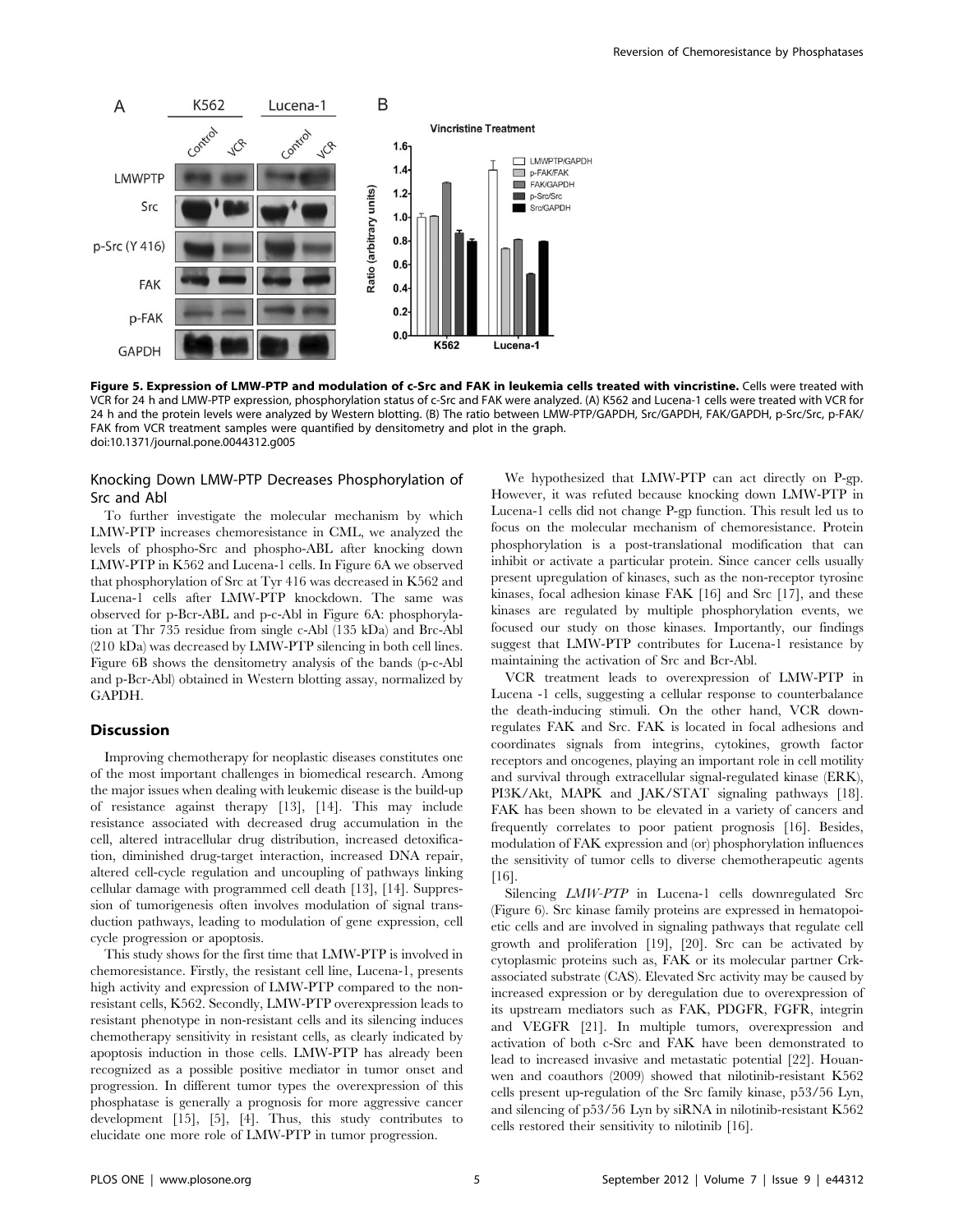

Figure 5. Expression of LMW-PTP and modulation of c-Src and FAK in leukemia cells treated with vincristine. Cells were treated with VCR for 24 h and LMW-PTP expression, phosphorylation status of c-Src and FAK were analyzed. (A) K562 and Lucena-1 cells were treated with VCR for 24 h and the protein levels were analyzed by Western blotting. (B) The ratio between LMW-PTP/GAPDH, Src/GAPDH, FAK/GAPDH, p-Src/Src, p-FAK/ FAK from VCR treatment samples were quantified by densitometry and plot in the graph. doi:10.1371/journal.pone.0044312.g005

## Knocking Down LMW-PTP Decreases Phosphorylation of Src and Abl

To further investigate the molecular mechanism by which LMW-PTP increases chemoresistance in CML, we analyzed the levels of phospho-Src and phospho-ABL after knocking down LMW-PTP in K562 and Lucena-1 cells. In Figure 6A we observed that phosphorylation of Src at Tyr 416 was decreased in K562 and Lucena-1 cells after LMW-PTP knockdown. The same was observed for p-Bcr-ABL and p-c-Abl in Figure 6A: phosphorylation at Thr 735 residue from single c-Abl (135 kDa) and Brc-Abl (210 kDa) was decreased by LMW-PTP silencing in both cell lines. Figure 6B shows the densitometry analysis of the bands (p-c-Abl and p-Bcr-Abl) obtained in Western blotting assay, normalized by GAPDH.

## Discussion

Improving chemotherapy for neoplastic diseases constitutes one of the most important challenges in biomedical research. Among the major issues when dealing with leukemic disease is the build-up of resistance against therapy [13], [14]. This may include resistance associated with decreased drug accumulation in the cell, altered intracellular drug distribution, increased detoxification, diminished drug-target interaction, increased DNA repair, altered cell-cycle regulation and uncoupling of pathways linking cellular damage with programmed cell death [13], [14]. Suppression of tumorigenesis often involves modulation of signal transduction pathways, leading to modulation of gene expression, cell cycle progression or apoptosis.

This study shows for the first time that LMW-PTP is involved in chemoresistance. Firstly, the resistant cell line, Lucena-1, presents high activity and expression of LMW-PTP compared to the nonresistant cells, K562. Secondly, LMW-PTP overexpression leads to resistant phenotype in non-resistant cells and its silencing induces chemotherapy sensitivity in resistant cells, as clearly indicated by apoptosis induction in those cells. LMW-PTP has already been recognized as a possible positive mediator in tumor onset and progression. In different tumor types the overexpression of this phosphatase is generally a prognosis for more aggressive cancer development [15], [5], [4]. Thus, this study contributes to elucidate one more role of LMW-PTP in tumor progression.

We hypothesized that LMW-PTP can act directly on P-gp. However, it was refuted because knocking down LMW-PTP in Lucena-1 cells did not change P-gp function. This result led us to focus on the molecular mechanism of chemoresistance. Protein phosphorylation is a post-translational modification that can inhibit or activate a particular protein. Since cancer cells usually present upregulation of kinases, such as the non-receptor tyrosine kinases, focal adhesion kinase FAK [16] and Src [17], and these kinases are regulated by multiple phosphorylation events, we focused our study on those kinases. Importantly, our findings suggest that LMW-PTP contributes for Lucena-1 resistance by maintaining the activation of Src and Bcr-Abl.

VCR treatment leads to overexpression of LMW-PTP in Lucena -1 cells, suggesting a cellular response to counterbalance the death-inducing stimuli. On the other hand, VCR downregulates FAK and Src. FAK is located in focal adhesions and coordinates signals from integrins, cytokines, growth factor receptors and oncogenes, playing an important role in cell motility and survival through extracellular signal-regulated kinase (ERK), PI3K/Akt, MAPK and JAK/STAT signaling pathways [18]. FAK has been shown to be elevated in a variety of cancers and frequently correlates to poor patient prognosis [16]. Besides, modulation of FAK expression and (or) phosphorylation influences the sensitivity of tumor cells to diverse chemotherapeutic agents [16].

Silencing *LMW-PTP* in Lucena-1 cells downregulated Src (Figure 6). Src kinase family proteins are expressed in hematopoietic cells and are involved in signaling pathways that regulate cell growth and proliferation [19], [20]. Src can be activated by cytoplasmic proteins such as, FAK or its molecular partner Crkassociated substrate (CAS). Elevated Src activity may be caused by increased expression or by deregulation due to overexpression of its upstream mediators such as FAK, PDGFR, FGFR, integrin and VEGFR [21]. In multiple tumors, overexpression and activation of both c-Src and FAK have been demonstrated to lead to increased invasive and metastatic potential [22]. Houanwen and coauthors (2009) showed that nilotinib-resistant K562 cells present up-regulation of the Src family kinase, p53/56 Lyn, and silencing of p53/56 Lyn by siRNA in nilotinib-resistant K562 cells restored their sensitivity to nilotinib [16].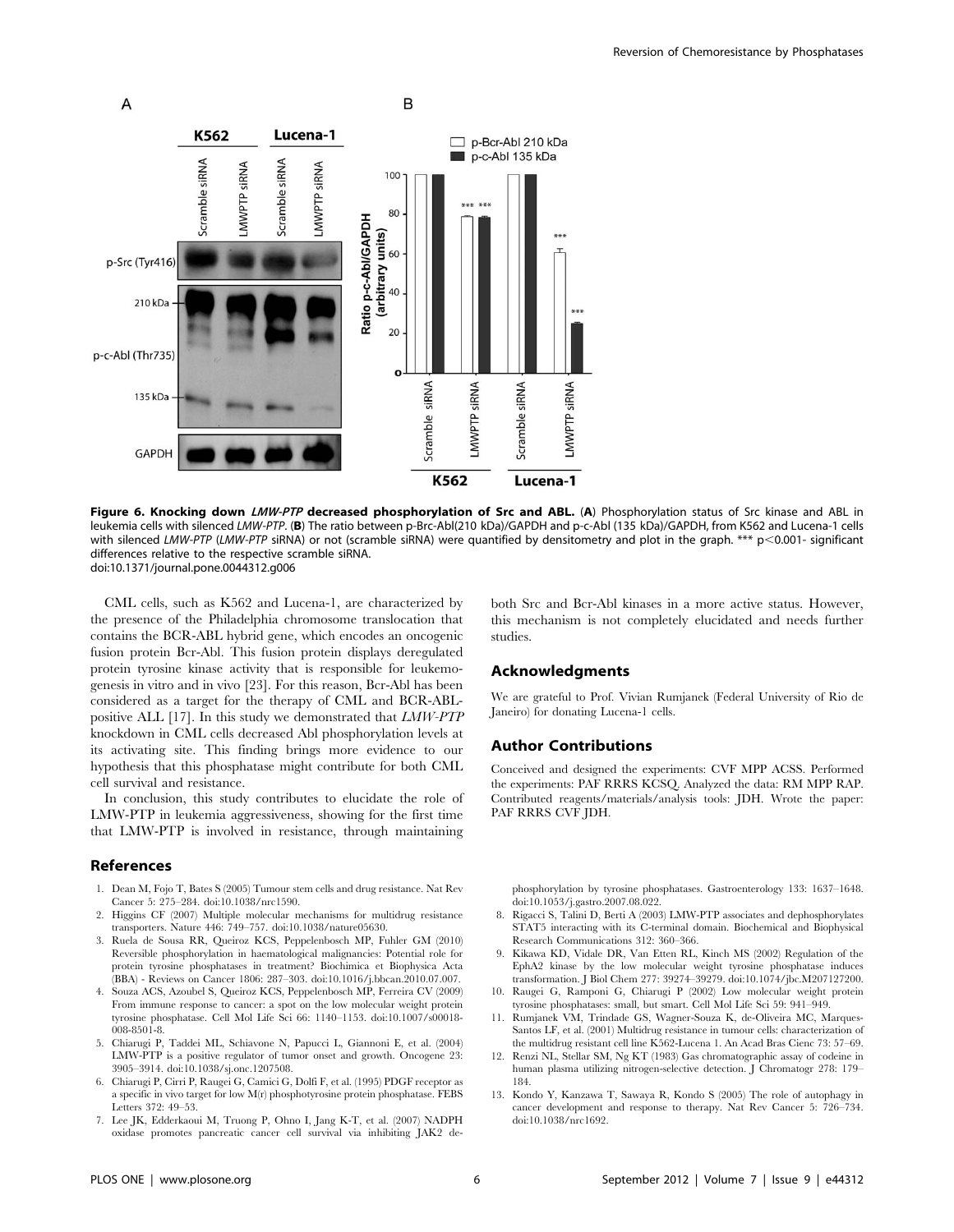

Figure 6. Knocking down LMW-PTP decreased phosphorylation of Src and ABL. (A) Phosphorylation status of Src kinase and ABL in leukemia cells with silenced LMW-PTP. (B) The ratio between p-Brc-Abl(210 kDa)/GAPDH and p-c-Abl (135 kDa)/GAPDH, from K562 and Lucena-1 cells with silenced LMW-PTP (LMW-PTP siRNA) or not (scramble siRNA) were quantified by densitometry and plot in the graph. \*\*\*  $p<0.001$ - significant differences relative to the respective scramble siRNA. doi:10.1371/journal.pone.0044312.g006

CML cells, such as K562 and Lucena-1, are characterized by the presence of the Philadelphia chromosome translocation that contains the BCR-ABL hybrid gene, which encodes an oncogenic fusion protein Bcr-Abl. This fusion protein displays deregulated protein tyrosine kinase activity that is responsible for leukemogenesis in vitro and in vivo [23]. For this reason, Bcr-Abl has been considered as a target for the therapy of CML and BCR-ABLpositive ALL [17]. In this study we demonstrated that LMW-PTP knockdown in CML cells decreased Abl phosphorylation levels at its activating site. This finding brings more evidence to our hypothesis that this phosphatase might contribute for both CML cell survival and resistance.

In conclusion, this study contributes to elucidate the role of LMW-PTP in leukemia aggressiveness, showing for the first time that LMW-PTP is involved in resistance, through maintaining

#### References

- 1. Dean M, Fojo T, Bates S (2005) Tumour stem cells and drug resistance. Nat Rev Cancer 5: 275–284. doi:10.1038/nrc1590.
- 2. Higgins CF (2007) Multiple molecular mechanisms for multidrug resistance transporters. Nature 446: 749–757. doi:10.1038/nature05630.
- 3. Ruela de Sousa RR, Queiroz KCS, Peppelenbosch MP, Fuhler GM (2010) Reversible phosphorylation in haematological malignancies: Potential role for protein tyrosine phosphatases in treatment? Biochimica et Biophysica Acta (BBA) - Reviews on Cancer 1806: 287–303. doi:10.1016/j.bbcan.2010.07.007.
- 4. Souza ACS, Azoubel S, Queiroz KCS, Peppelenbosch MP, Ferreira CV (2009) From immune response to cancer: a spot on the low molecular weight protein tyrosine phosphatase. Cell Mol Life Sci 66: 1140–1153. doi:10.1007/s00018- 008-8501-8.
- 5. Chiarugi P, Taddei ML, Schiavone N, Papucci L, Giannoni E, et al. (2004) LMW-PTP is a positive regulator of tumor onset and growth. Oncogene 23: 3905–3914. doi:10.1038/sj.onc.1207508.
- 6. Chiarugi P, Cirri P, Raugei G, Camici G, Dolfi F, et al. (1995) PDGF receptor as a specific in vivo target for low M(r) phosphotyrosine protein phosphatase. FEBS Letters 372: 49–53.
- 7. Lee JK, Edderkaoui M, Truong P, Ohno I, Jang K-T, et al. (2007) NADPH oxidase promotes pancreatic cancer cell survival via inhibiting JAK2 de-

both Src and Bcr-Abl kinases in a more active status. However, this mechanism is not completely elucidated and needs further studies.

#### Acknowledgments

We are grateful to Prof. Vivian Rumjanek (Federal University of Rio de Janeiro) for donating Lucena-1 cells.

#### Author Contributions

Conceived and designed the experiments: CVF MPP ACSS. Performed the experiments: PAF RRRS KCSQ. Analyzed the data: RM MPP RAP. Contributed reagents/materials/analysis tools: JDH. Wrote the paper: PAF RRRS CVF JDH.

phosphorylation by tyrosine phosphatases. Gastroenterology 133: 1637–1648. doi:10.1053/j.gastro.2007.08.022.

- 8. Rigacci S, Talini D, Berti A (2003) LMW-PTP associates and dephosphorylates STAT5 interacting with its C-terminal domain. Biochemical and Biophysical Research Communications 312: 360–366.
- 9. Kikawa KD, Vidale DR, Van Etten RL, Kinch MS (2002) Regulation of the EphA2 kinase by the low molecular weight tyrosine phosphatase induces transformation. J Biol Chem 277: 39274–39279. doi:10.1074/jbc.M207127200.
- 10. Raugei G, Ramponi G, Chiarugi P (2002) Low molecular weight protein tyrosine phosphatases: small, but smart. Cell Mol Life Sci 59: 941–949.
- 11. Rumjanek VM, Trindade GS, Wagner-Souza K, de-Oliveira MC, Marques-Santos LF, et al. (2001) Multidrug resistance in tumour cells: characterization of the multidrug resistant cell line K562-Lucena 1. An Acad Bras Cienc 73: 57–69.
- 12. Renzi NL, Stellar SM, Ng KT (1983) Gas chromatographic assay of codeine in human plasma utilizing nitrogen-selective detection. J Chromatogr 278: 179– 184.
- 13. Kondo Y, Kanzawa T, Sawaya R, Kondo S (2005) The role of autophagy in cancer development and response to therapy. Nat Rev Cancer 5: 726–734. doi:10.1038/nrc1692.